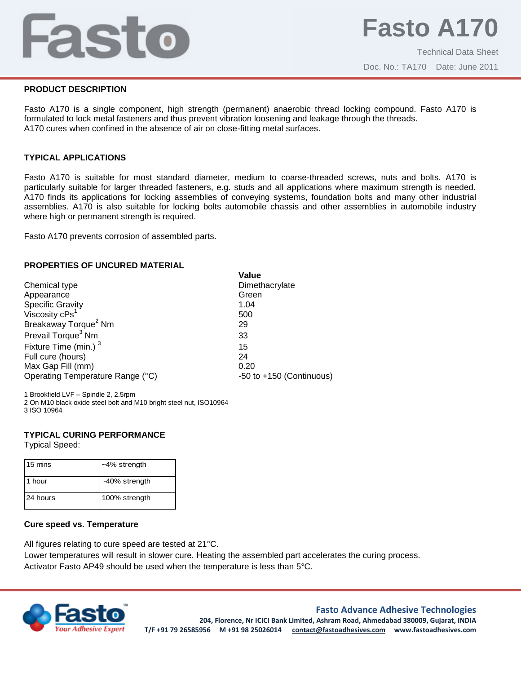## Fasto

#### **PRODUCT DESCRIPTION**

Fasto A170 is a single component, high strength (permanent) anaerobic thread locking compound. Fasto A170 is formulated to lock metal fasteners and thus prevent vibration loosening and leakage through the threads. A170 cures when confined in the absence of air on close-fitting metal surfaces.

#### **TYPICAL APPLICATIONS**

Fasto A170 is suitable for most standard diameter, medium to coarse-threaded screws, nuts and bolts. A170 is particularly suitable for larger threaded fasteners, e.g. studs and all applications where maximum strength is needed. A170 finds its applications for locking assemblies of conveying systems, foundation bolts and many other industrial assemblies. A170 is also suitable for locking bolts automobile chassis and other assemblies in automobile industry where high or permanent strength is required.

Fasto A170 prevents corrosion of assembled parts.

#### **PROPERTIES OF UNCURED MATERIAL**

|                                  | Value                        |
|----------------------------------|------------------------------|
| Chemical type                    | Dimethacrylate               |
| Appearance                       | Green                        |
| <b>Specific Gravity</b>          | 1.04                         |
| Viscosity cPs <sup>1</sup>       | 500                          |
| Breakaway Torque <sup>2</sup> Nm | 29                           |
| Prevail Torque <sup>3</sup> Nm   | 33                           |
| Fixture Time (min.) <sup>3</sup> | 15                           |
| Full cure (hours)                | 24                           |
| Max Gap Fill (mm)                | 0.20                         |
| Operating Temperature Range (°C) | $-50$ to $+150$ (Continuous) |

1 Brookfield LVF – Spindle 2, 2.5rpm

2 On M10 black oxide steel bolt and M10 bright steel nut, ISO10964 3 ISO 10964

#### **TYPICAL CURING PERFORMANCE**

Typical Speed:

| 15 mins  | $-4\%$ strength |
|----------|-----------------|
| l 1 hour | ~40% strength   |
| 24 hours | 100% strength   |

#### **Cure speed vs. Temperature**

All figures relating to cure speed are tested at 21°C.

Lower temperatures will result in slower cure. Heating the assembled part accelerates the curing process. Activator Fasto AP49 should be used when the temperature is less than 5°C.



#### **Fasto Advance Adhesive Technologies**

**204, Florence, Nr ICICI Bank Limited, Ashram Road, Ahmedabad 380009, Gujarat, INDIA T/F +91 79 26585956 M +91 98 25026014 contact@fastoadhesives.com www.fastoadhesives.com**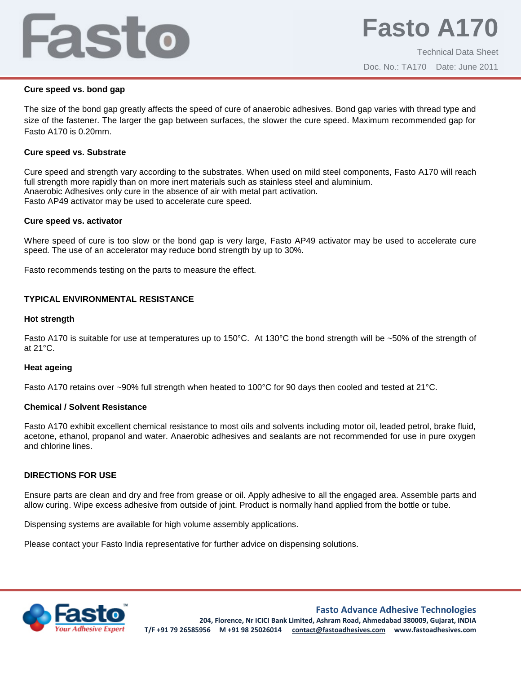# Fasto

### **Cure speed vs. bond gap**

The size of the bond gap greatly affects the speed of cure of anaerobic adhesives. Bond gap varies with thread type and size of the fastener. The larger the gap between surfaces, the slower the cure speed. Maximum recommended gap for Fasto A170 is 0.20mm.

## **Cure speed vs. Substrate**

Cure speed and strength vary according to the substrates. When used on mild steel components, Fasto A170 will reach full strength more rapidly than on more inert materials such as stainless steel and aluminium. Anaerobic Adhesives only cure in the absence of air with metal part activation. Fasto AP49 activator may be used to accelerate cure speed.

### **Cure speed vs. activator**

Where speed of cure is too slow or the bond gap is very large, Fasto AP49 activator may be used to accelerate cure speed. The use of an accelerator may reduce bond strength by up to 30%.

Fasto recommends testing on the parts to measure the effect.

## **TYPICAL ENVIRONMENTAL RESISTANCE**

#### **Hot strength**

Fasto A170 is suitable for use at temperatures up to 150°C. At 130°C the bond strength will be ~50% of the strength of at 21°C.

#### **Heat ageing**

Fasto A170 retains over ~90% full strength when heated to 100°C for 90 days then cooled and tested at 21°C.

#### **Chemical / Solvent Resistance**

Fasto A170 exhibit excellent chemical resistance to most oils and solvents including motor oil, leaded petrol, brake fluid, acetone, ethanol, propanol and water. Anaerobic adhesives and sealants are not recommended for use in pure oxygen and chlorine lines.

#### **DIRECTIONS FOR USE**

Ensure parts are clean and dry and free from grease or oil. Apply adhesive to all the engaged area. Assemble parts and allow curing. Wipe excess adhesive from outside of joint. Product is normally hand applied from the bottle or tube.

Dispensing systems are available for high volume assembly applications.

Please contact your Fasto India representative for further advice on dispensing solutions.



**Fasto Advance Adhesive Technologies**

**204, Florence, Nr ICICI Bank Limited, Ashram Road, Ahmedabad 380009, Gujarat, INDIA T/F +91 79 26585956 M +91 98 25026014 contact@fastoadhesives.com www.fastoadhesives.com**